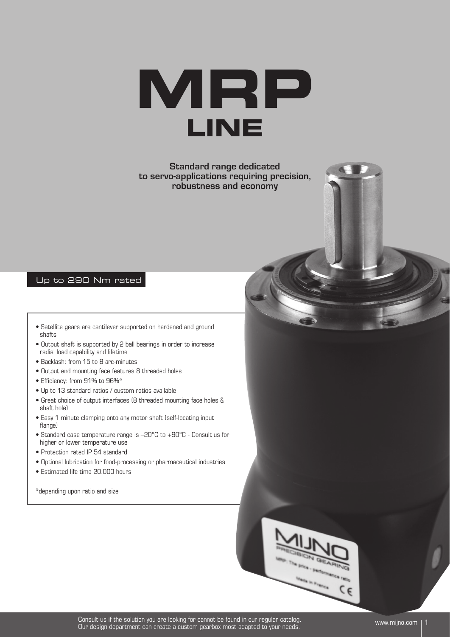

**Standard range dedicated to servo-applications requiring precision, robustness and economy**

#### Up to 290 Nm rated

- Satellite gears are cantilever supported on hardened and ground shafts
- Output shaft is supported by 2 ball bearings in order to increase radial load capability and lifetime
- Backlash: from 15 to 8 arc-minutes
- Output end mounting face features 8 threaded holes
- Efficiency: from 91% to 96%\*
- Up to 13 standard ratios / custom ratios available
- Great choice of output interfaces (8 threaded mounting face holes & shaft hole)
- Easy 1 minute clamping onto any motor shaft (self-locating input flange)
- Standard case temperature range is –20°C to +90°C Consult us for higher or lower temperature use
- Protection rated IP 54 standard
- Optional lubrication for food-processing or pharmaceutical industries
- Estimated life time 20.000 hours

\*depending upon ratio and size

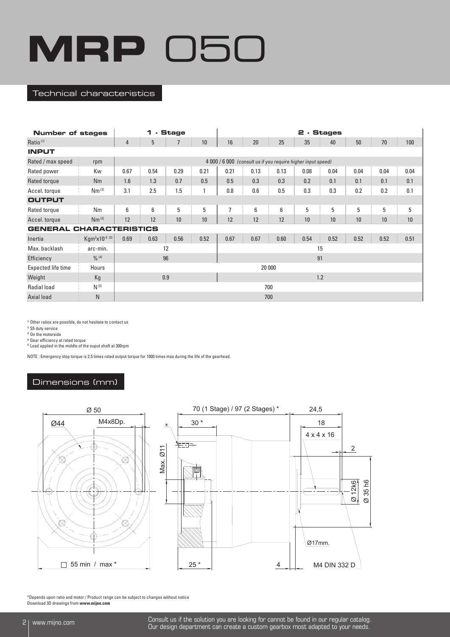#### Technical characteristics

| <b>Number of stages</b> |                            |                | 1                         | - Stage |                                                              | 2 - Stages     |      |      |      |      |      |      |      |  |
|-------------------------|----------------------------|----------------|---------------------------|---------|--------------------------------------------------------------|----------------|------|------|------|------|------|------|------|--|
| Ratio <sup>(1)</sup>    |                            | $\overline{4}$ | 5<br>$\overline{7}$<br>10 |         |                                                              |                | 20   | 25   | 35   | 40   | 50   | 70   | 100  |  |
| <b>INPUT</b>            |                            |                |                           |         |                                                              |                |      |      |      |      |      |      |      |  |
| Rated / max speed       | rpm                        |                |                           |         | 4 000 / 6 000 (consult us if you require higher input speed) |                |      |      |      |      |      |      |      |  |
| Rated power             | Kw                         | 0.67           | 0.54                      | 0.29    | 0.21                                                         | 0.21           | 0.13 | 0.13 | 0.08 | 0.04 | 0.04 | 0.04 | 0.04 |  |
| Rated torque            | Nm                         | 1.6            | 1.3                       | 0.7     | 0.5                                                          | 0.5            | 0.3  | 0.3  | 0.2  | 0.1  | 0.1  | 0.1  | 0.1  |  |
| Accel. torque           | Nm <sup>(2)</sup>          | 3.1            | 2.5                       | 1.5     |                                                              | 0.8            | 0.6  | 0.5  | 0.3  | 0.3  | 0.2  | 0.2  | 0.1  |  |
| <b>OUTPUT</b>           |                            |                |                           |         |                                                              |                |      |      |      |      |      |      |      |  |
| Rated torque            | Nm                         | 6              | 6                         | 5       | 5                                                            | $\overline{7}$ | 6    | 6    | 5    | 5    | 5    | 5    | 5    |  |
| Accel. torque           | Nm <sup>(2)</sup>          | 12             | 12                        | 10      | 10                                                           | 12             | 12   | 12   | 10   | 10   | 10   | 10   | 10   |  |
| <b>GENERAL</b>          | <b>CHARACTERISTICS</b>     |                |                           |         |                                                              |                |      |      |      |      |      |      |      |  |
| Inertia                 | Kgm <sup>2</sup> x10-5 (3) | 0.69           | 0.63                      | 0.56    | 0.52                                                         | 0.67           | 0.67 | 0.60 | 0.54 | 0.52 | 0.52 | 0.52 | 0.51 |  |
| Max. backlash           | arc-min.                   |                |                           | 12      |                                                              | 15             |      |      |      |      |      |      |      |  |
| Efficiency              | $0/0$ (4)                  |                | 96                        |         |                                                              | 91             |      |      |      |      |      |      |      |  |
| Expected life time      | Hours                      |                |                           |         |                                                              | 20 000         |      |      |      |      |      |      |      |  |
| Weight                  | Kg                         |                | 0.9                       |         |                                                              | 1.2            |      |      |      |      |      |      |      |  |
| <b>Radial load</b>      | $N^{(5)}$                  |                |                           |         |                                                              | 700            |      |      |      |      |      |      |      |  |
| Axial load              | N                          |                |                           |         |                                                              | 700            |      |      |      |      |      |      |      |  |

1) Other ratios are possible, do not hesitate to contact us

2) S5 duty service

3) On the motorside

4) Gear efficiency at rated torque 5) Load applied in the middle of the ouput shaft at 300rpm

NOTE : Emergency stop torque is 2.5 times rated output torque for 1000 times max during the life of the gearhead.

## Dimensions (mm)



\*Depends upon ratio and motor / Product range can be subject to changes without notice Download 3D drawings from **www.mijno.com**

2 www.mijno.com Consult us if the solution you are looking for cannot be found in our regular catalog. Our design department can create a custom gearbox most adapted to your needs.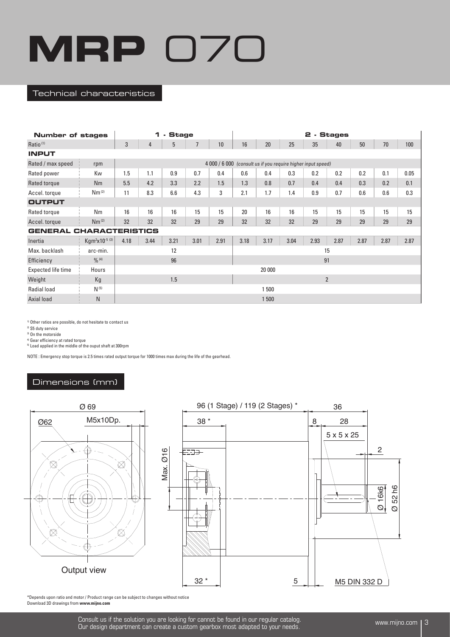#### Technical characteristics

| <b>Number of stages</b>        |                            | 1    | - Stage                                                      |      |                | 2 - Stages |                |        |      |      |      |      |      |      |  |
|--------------------------------|----------------------------|------|--------------------------------------------------------------|------|----------------|------------|----------------|--------|------|------|------|------|------|------|--|
| Ratio <sup>(1)</sup>           |                            | 3    | $\overline{4}$                                               | 5    | $\overline{1}$ | 10         | 16             | 20     | 25   | 35   | 40   | 50   | 70   | 100  |  |
| <b>INPUT</b>                   |                            |      |                                                              |      |                |            |                |        |      |      |      |      |      |      |  |
| Rated / max speed              | rpm                        |      | 4 000 / 6 000 (consult us if you require higher input speed) |      |                |            |                |        |      |      |      |      |      |      |  |
| Rated power                    | Kw                         | 1.5  | 1.1                                                          | 0.9  | 0.7            | 0.4        | 0.6            | 0.4    | 0.3  | 0.2  | 0.2  | 0.2  | 0.1  | 0.05 |  |
| Rated torque                   | Nm                         | 5.5  | 4.2                                                          | 3.3  | 2.2            | 1.5        | 1.3            | 0.8    | 0.7  | 0.4  | 0.4  | 0.3  | 0.2  | 0.1  |  |
| Accel. torque                  | Nm <sup>(2)</sup>          | 11   | 8.3                                                          | 6.6  | 4.3            | 3          | 2.1            | 1.7    | 1.4  | 0.9  | 0.7  | 0.6  | 0.6  | 0.3  |  |
| <b>OUTPUT</b>                  |                            |      |                                                              |      |                |            |                |        |      |      |      |      |      |      |  |
| Rated torque                   | Nm                         | 16   | 16                                                           | 16   | 15             | 15         | 20             | 16     | 16   | 15   | 15   | 15   | 15   | 15   |  |
| Accel. torque                  | Nm <sup>(2)</sup>          | 32   | 32                                                           | 32   | 29             | 29         | 32             | 32     | 32   | 29   | 29   | 29   | 29   | 29   |  |
| <b>GENERAL CHARACTERISTICS</b> |                            |      |                                                              |      |                |            |                |        |      |      |      |      |      |      |  |
| Inertia                        | Kgm <sup>2</sup> x10-5 (3) | 4.18 | 3.44                                                         | 3.21 | 3.01           | 2.91       | 3.18           | 3.17   | 3.04 | 2.93 | 2.87 | 2.87 | 2.87 | 2.87 |  |
| Max. backlash                  | arc-min.                   |      |                                                              | 12   |                |            | 15             |        |      |      |      |      |      |      |  |
| Efficiency                     | $0/0$ (4)                  |      |                                                              | 96   |                |            | 91             |        |      |      |      |      |      |      |  |
| Expected life time             | Hours                      |      |                                                              |      |                |            |                | 20 000 |      |      |      |      |      |      |  |
| Weight                         | Kg                         | 1.5  |                                                              |      |                |            | $\overline{2}$ |        |      |      |      |      |      |      |  |
| Radial load                    | $N^{(5)}$                  |      |                                                              |      |                |            |                | 1 500  |      |      |      |      |      |      |  |
| Axial load                     | N                          |      |                                                              |      |                |            |                | 1 500  |      |      |      |      |      |      |  |

1) Other ratios are possible, do not hesitate to contact us

2) S5 duty service

3) On the motorside

4) Gear efficiency at rated torque

5) Load applied in the middle of the ouput shaft at 300rpm

NOTE : Emergency stop torque is 2.5 times rated output torque for 1000 times max during the life of the gearhead.

## Dimensions (mm)



\*Depends upon ratio and motor / Product range can be subject to changes without notice Download 3D drawings from **www.mijno.com**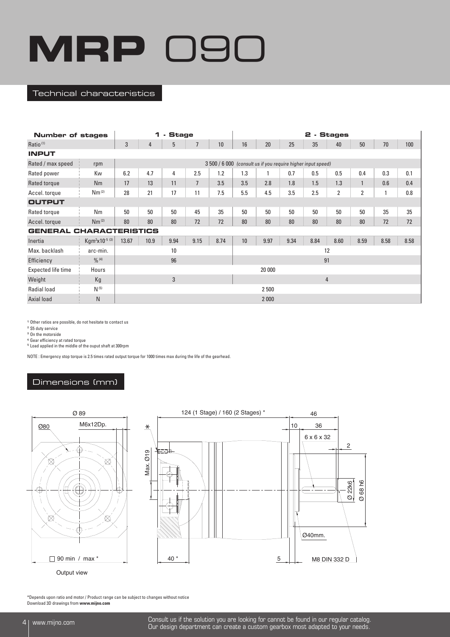#### Technical characteristics

| <b>Number of stages</b>        |                            | - Stage<br>1 |                                                              |      |                |      |     | 2 - Stages |      |                |                |                |      |      |  |  |
|--------------------------------|----------------------------|--------------|--------------------------------------------------------------|------|----------------|------|-----|------------|------|----------------|----------------|----------------|------|------|--|--|
| Ratio <sup>(1)</sup>           |                            | 3            | $\overline{4}$                                               | 5    | $\overline{7}$ | 10   | 16  | 20         | 25   | 35             | 40             | 50             | 70   | 100  |  |  |
| <b>INPUT</b>                   |                            |              |                                                              |      |                |      |     |            |      |                |                |                |      |      |  |  |
| Rated / max speed              | rpm                        |              | 3 500 / 6 000 (consult us if you require higher input speed) |      |                |      |     |            |      |                |                |                |      |      |  |  |
| Rated power                    | Kw                         | 6.2          | 4.7                                                          | 4    | 2.5            | 1.2  | 1.3 |            | 0.7  | 0.5            | 0.5            | 0.4            | 0.3  | 0.1  |  |  |
| Rated torque                   | Nm                         | 17           | 13                                                           | 11   | $\overline{7}$ | 3.5  | 3.5 | 2.8        | 1.8  | 1.5            | 1.3            | $\mathbf{1}$   | 0.6  | 0.4  |  |  |
| Accel. torque                  | Nm <sup>(2)</sup>          | 28           | 21                                                           | 17   | 11             | 7.5  | 5.5 | 4.5        | 3.5  | 2.5            | $\overline{2}$ | $\overline{2}$ |      | 0.8  |  |  |
| <b>OUTPUT</b>                  |                            |              |                                                              |      |                |      |     |            |      |                |                |                |      |      |  |  |
| Rated torque                   | Nm                         | 50           | 50                                                           | 50   | 45             | 35   | 50  | 50         | 50   | 50             | 50             | 50             | 35   | 35   |  |  |
| Accel. torque                  | Nm <sup>(2)</sup>          | 80           | 80                                                           | 80   | 72             | 72   | 80  | 80         | 80   | 80             | 80             | 80             | 72   | 72   |  |  |
| <b>GENERAL CHARACTERISTICS</b> |                            |              |                                                              |      |                |      |     |            |      |                |                |                |      |      |  |  |
| Inertia                        | Kgm <sup>2</sup> x10-5 (3) | 13.67        | 10.9                                                         | 9.94 | 9.15           | 8.74 | 10  | 9.97       | 9.34 | 8.84           | 8.60           | 8.59           | 8.58 | 8.58 |  |  |
| Max. backlash                  | arc-min.                   |              |                                                              | 10   |                |      | 12  |            |      |                |                |                |      |      |  |  |
| Efficiency                     | $\frac{0}{0}$ (4)          |              |                                                              | 96   |                |      | 91  |            |      |                |                |                |      |      |  |  |
| Expected life time             | Hours                      |              |                                                              |      |                |      |     | 20 000     |      |                |                |                |      |      |  |  |
| Weight                         | Kg                         |              |                                                              | 3    |                |      |     |            |      | $\overline{4}$ |                |                |      |      |  |  |
| Radial load                    | $N^{(5)}$                  |              |                                                              |      |                |      |     | 2 500      |      |                |                |                |      |      |  |  |
| Axial load                     | N                          |              |                                                              |      |                |      |     | 2 0 0 0    |      |                |                |                |      |      |  |  |

1) Other ratios are possible, do not hesitate to contact us

2) S5 duty service

3) On the motorside

4) Gear efficiency at rated torque

5) Load applied in the middle of the ouput shaft at 300rpm

NOTE : Emergency stop torque is 2.5 times rated output torque for 1000 times max during the life of the gearhead.

## Dimensions (mm)



\*Depends upon ratio and motor / Product range can be subject to changes without notice Download 3D drawings from **www.mijno.com**

4 www.mijno.com Consult us if the solution you are looking for cannot be found in our regular catalog. Our design department can create a custom gearbox most adapted to your needs.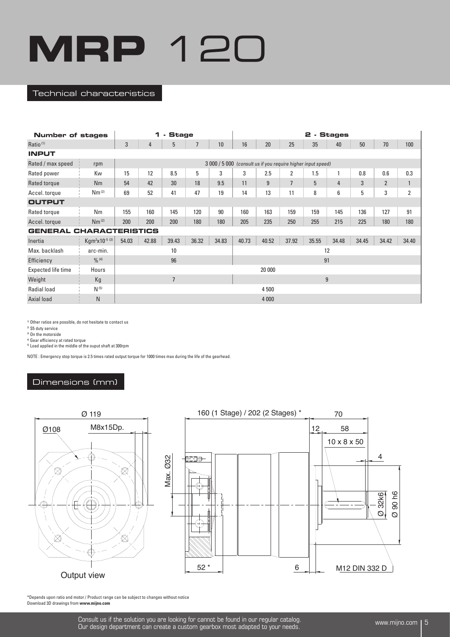#### Technical characteristics

| <b>Number of stages</b> |                            | - Stage<br>1 |       |                |                |       |       | - Stages<br>2 |                |                                                              |       |       |                |                |  |  |  |
|-------------------------|----------------------------|--------------|-------|----------------|----------------|-------|-------|---------------|----------------|--------------------------------------------------------------|-------|-------|----------------|----------------|--|--|--|
| Ratio <sup>(1)</sup>    |                            | 3            | 4     | 5              | $\overline{7}$ | 10    | 16    | 20            | 25             | 35                                                           | 40    | 50    | 70             | 100            |  |  |  |
| <b>INPUT</b>            |                            |              |       |                |                |       |       |               |                |                                                              |       |       |                |                |  |  |  |
| Rated / max speed       | rpm                        |              |       |                |                |       |       |               |                | 3 000 / 5 000 (consult us if you require higher input speed) |       |       |                |                |  |  |  |
| Rated power             | Kw                         | 15           | 12    | 8.5            | 5              | 3     | 3     | 2.5           | $\overline{2}$ | 1.5                                                          |       | 0.8   | 0.6            | 0.3            |  |  |  |
| Rated torque            | Nm                         | 54           | 42    | 30             | 18             | 9.5   | 11    | 9             | $\overline{7}$ | 5                                                            | 4     | 3     | $\overline{2}$ | $\mathbf{1}$   |  |  |  |
| Accel. torque           | Nm <sup>(2)</sup>          | 69           | 52    | 41             | 47             | 19    | 14    | 13            | 11             | 8                                                            | 6     | 5     | 3              | $\overline{2}$ |  |  |  |
| <b>OUTPUT</b>           |                            |              |       |                |                |       |       |               |                |                                                              |       |       |                |                |  |  |  |
| Rated torque            | Nm                         | 155          | 160   | 145            | 120            | 90    | 160   | 163           | 159            | 159                                                          | 145   | 136   | 127            | 91             |  |  |  |
| Accel. torque           | Nm <sup>(2)</sup>          | 200          | 200   | 200            | 180            | 180   | 205   | 235           | 250            | 255                                                          | 215   | 225   | 180            | 180            |  |  |  |
| <b>GENERAL</b>          | <b>CHARACTERISTICS</b>     |              |       |                |                |       |       |               |                |                                                              |       |       |                |                |  |  |  |
| Inertia                 | Kgm <sup>2</sup> x10-5 (3) | 54.03        | 42.88 | 39.43          | 36.32          | 34.83 | 40.73 | 40.52         | 37.92          | 35.55                                                        | 34.48 | 34.45 | 34.42          | 34.40          |  |  |  |
| Max. backlash           | arc-min.                   |              |       | 10             |                |       | 12    |               |                |                                                              |       |       |                |                |  |  |  |
| Efficiency              | $0/0$ (4)                  |              |       | 96             |                |       | 91    |               |                |                                                              |       |       |                |                |  |  |  |
| Expected life time      | Hours                      |              |       |                |                |       |       | 20 000        |                |                                                              |       |       |                |                |  |  |  |
| Weight                  | Kg                         |              |       | $\overline{1}$ |                |       |       |               |                | 9                                                            |       |       |                |                |  |  |  |
| <b>Radial load</b>      | $N^{(5)}$                  |              |       |                |                |       |       | 4 500         |                |                                                              |       |       |                |                |  |  |  |
| Axial load              | N                          |              |       |                |                |       |       | 4 0 0 0       |                |                                                              |       |       |                |                |  |  |  |

1) Other ratios are possible, do not hesitate to contact us

2) S5 duty service

3) On the motorside

4) Gear efficiency at rated torque

5) Load applied in the middle of the ouput shaft at 300rpm

NOTE : Emergency stop torque is 2.5 times rated output torque for 1000 times max during the life of the gearhead.

## Dimensions (mm)



\*Depends upon ratio and motor / Product range can be subject to changes without notice Download 3D drawings from **www.mijno.com**

> Consult us if the solution you are looking for cannot be found in our regular catalog.<br>Our decime department can create a quotam secretor meet edented to your reade. Our design department can create a custom gearbox most adapted to your needs.